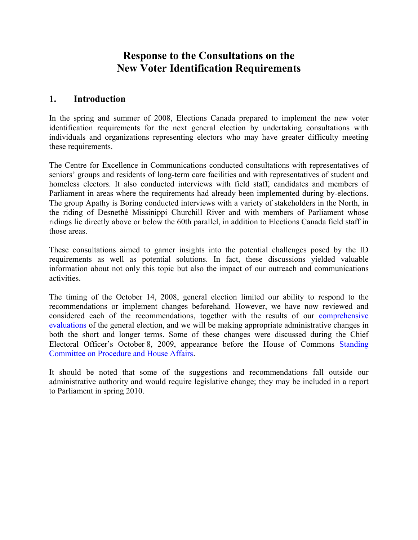# **Response to the Consultations on the New Voter Identification Requirements**

## **1. Introduction**

In the spring and summer of 2008, Elections Canada prepared to implement the new voter identification requirements for the next general election by undertaking consultations with individuals and organizations representing electors who may have greater difficulty meeting these requirements.

The Centre for Excellence in Communications conducted consultations with representatives of seniors' groups and residents of long-term care facilities and with representatives of student and homeless electors. It also conducted interviews with field staff, candidates and members of Parliament in areas where the requirements had already been implemented during by-elections. The group Apathy is Boring conducted interviews with a variety of stakeholders in the North, in the riding of Desnethé–Missinippi–Churchill River and with members of Parliament whose ridings lie directly above or below the 60th parallel, in addition to Elections Canada field staff in those areas.

These consultations aimed to garner insights into the potential challenges posed by the ID requirements as well as potential solutions. In fact, these discussions yielded valuable information about not only this topic but also the impact of our outreach and communications activities.

The timing of the October 14, 2008, general election limited our ability to respond to the recommendations or implement changes beforehand. However, we have now reviewed and considered each of the recommendations, together with the results of our [comprehensive](http://www.elections.ca/content.asp?section=loi&document=index&dir=res/40eval&lang=e&textonly=false)  [evaluations](http://www.elections.ca/content.asp?section=loi&document=index&dir=res/40eval&lang=e&textonly=false) of the general election, and we will be making appropriate administrative changes in both the short and longer terms. Some of these changes were discussed during the Chief Electoral Officer's October 8, 2009, appearance before the House of Commons [Standing](http://www2.parl.gc.ca/HousePublications/Publication.aspx?DocId=4138200&Language=E&Mode=1&Parl=40&Ses=2)  [Committee on Procedure and House Affairs](http://www2.parl.gc.ca/HousePublications/Publication.aspx?DocId=4138200&Language=E&Mode=1&Parl=40&Ses=2).

It should be noted that some of the suggestions and recommendations fall outside our administrative authority and would require legislative change; they may be included in a report to Parliament in spring 2010.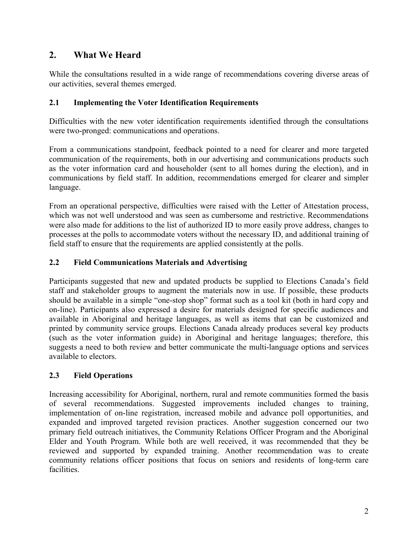# **2. What We Heard**

While the consultations resulted in a wide range of recommendations covering diverse areas of our activities, several themes emerged.

#### **2.1 Implementing the Voter Identification Requirements**

Difficulties with the new voter identification requirements identified through the consultations were two-pronged: communications and operations.

From a communications standpoint, feedback pointed to a need for clearer and more targeted communication of the requirements, both in our advertising and communications products such as the voter information card and householder (sent to all homes during the election), and in communications by field staff. In addition, recommendations emerged for clearer and simpler language.

From an operational perspective, difficulties were raised with the Letter of Attestation process, which was not well understood and was seen as cumbersome and restrictive. Recommendations were also made for additions to the list of authorized ID to more easily prove address, changes to processes at the polls to accommodate voters without the necessary ID, and additional training of field staff to ensure that the requirements are applied consistently at the polls.

### **2.2 Field Communications Materials and Advertising**

Participants suggested that new and updated products be supplied to Elections Canada's field staff and stakeholder groups to augment the materials now in use. If possible, these products should be available in a simple "one-stop shop" format such as a tool kit (both in hard copy and on-line). Participants also expressed a desire for materials designed for specific audiences and available in Aboriginal and heritage languages, as well as items that can be customized and printed by community service groups. Elections Canada already produces several key products (such as the voter information guide) in Aboriginal and heritage languages; therefore, this suggests a need to both review and better communicate the multi-language options and services available to electors.

### **2.3 Field Operations**

Increasing accessibility for Aboriginal, northern, rural and remote communities formed the basis of several recommendations. Suggested improvements included changes to training, implementation of on-line registration, increased mobile and advance poll opportunities, and expanded and improved targeted revision practices. Another suggestion concerned our two primary field outreach initiatives, the Community Relations Officer Program and the Aboriginal Elder and Youth Program. While both are well received, it was recommended that they be reviewed and supported by expanded training. Another recommendation was to create community relations officer positions that focus on seniors and residents of long-term care **facilities**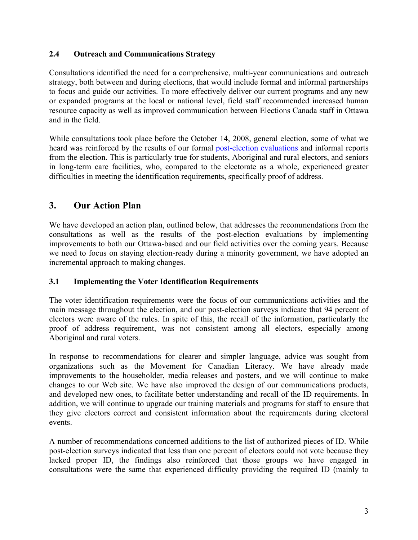#### **2.4 Outreach and Communications Strategy**

Consultations identified the need for a comprehensive, multi-year communications and outreach strategy, both between and during elections, that would include formal and informal partnerships to focus and guide our activities. To more effectively deliver our current programs and any new or expanded programs at the local or national level, field staff recommended increased human resource capacity as well as improved communication between Elections Canada staff in Ottawa and in the field.

While consultations took place before the October 14, 2008, general election, some of what we heard was reinforced by the results of our formal [post-election evaluations](http://www.elections.ca/content.asp?section=loi&document=index&dir=res/40eval&lang=e&textonly=false) and informal reports from the election. This is particularly true for students, Aboriginal and rural electors, and seniors in long-term care facilities, who, compared to the electorate as a whole, experienced greater difficulties in meeting the identification requirements, specifically proof of address.

# **3. Our Action Plan**

We have developed an action plan, outlined below, that addresses the recommendations from the consultations as well as the results of the post-election evaluations by implementing improvements to both our Ottawa-based and our field activities over the coming years. Because we need to focus on staying election-ready during a minority government, we have adopted an incremental approach to making changes.

### **3.1 Implementing the Voter Identification Requirements**

The voter identification requirements were the focus of our communications activities and the main message throughout the election, and our post-election surveys indicate that 94 percent of electors were aware of the rules. In spite of this, the recall of the information, particularly the proof of address requirement, was not consistent among all electors, especially among Aboriginal and rural voters.

In response to recommendations for clearer and simpler language, advice was sought from organizations such as the Movement for Canadian Literacy. We have already made improvements to the householder, media releases and posters, and we will continue to make changes to our Web site. We have also improved the design of our communications products, and developed new ones, to facilitate better understanding and recall of the ID requirements. In addition, we will continue to upgrade our training materials and programs for staff to ensure that they give electors correct and consistent information about the requirements during electoral events.

A number of recommendations concerned additions to the list of authorized pieces of ID. While post-election surveys indicated that less than one percent of electors could not vote because they lacked proper ID, the findings also reinforced that those groups we have engaged in consultations were the same that experienced difficulty providing the required ID (mainly to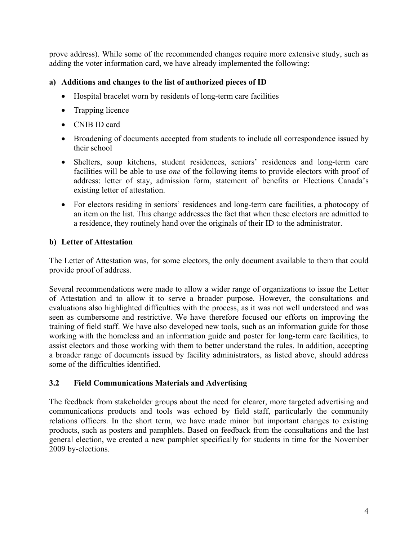prove address). While some of the recommended changes require more extensive study, such as adding the voter information card, we have already implemented the following:

#### **a) Additions and changes to the list of authorized pieces of ID**

- Hospital bracelet worn by residents of long-term care facilities
- Trapping licence
- CNIB ID card
- Broadening of documents accepted from students to include all correspondence issued by their school
- Shelters, soup kitchens, student residences, seniors' residences and long-term care facilities will be able to use *one* of the following items to provide electors with proof of address: letter of stay, admission form, statement of benefits or Elections Canada's existing letter of attestation.
- For electors residing in seniors' residences and long-term care facilities, a photocopy of an item on the list. This change addresses the fact that when these electors are admitted to a residence, they routinely hand over the originals of their ID to the administrator.

#### **b) Letter of Attestation**

The Letter of Attestation was, for some electors, the only document available to them that could provide proof of address.

Several recommendations were made to allow a wider range of organizations to issue the Letter of Attestation and to allow it to serve a broader purpose. However, the consultations and evaluations also highlighted difficulties with the process, as it was not well understood and was seen as cumbersome and restrictive. We have therefore focused our efforts on improving the training of field staff. We have also developed new tools, such as an information guide for those working with the homeless and an information guide and poster for long-term care facilities, to assist electors and those working with them to better understand the rules. In addition, accepting a broader range of documents issued by facility administrators, as listed above, should address some of the difficulties identified.

#### **3.2 Field Communications Materials and Advertising**

The feedback from stakeholder groups about the need for clearer, more targeted advertising and communications products and tools was echoed by field staff, particularly the community relations officers. In the short term, we have made minor but important changes to existing products, such as posters and pamphlets. Based on feedback from the consultations and the last general election, we created a new pamphlet specifically for students in time for the November 2009 by-elections.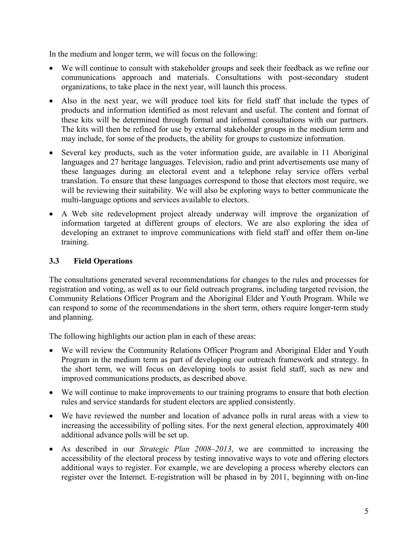In the medium and longer term, we will focus on the following:

- We will continue to consult with stakeholder groups and seek their feedback as we refine our communications approach and materials. Consultations with post-secondary student organizations, to take place in the next year, will launch this process.
- Also in the next year, we will produce tool kits for field staff that include the types of products and information identified as most relevant and useful. The content and format of these kits will be determined through formal and informal consultations with our partners. The kits will then be refined for use by external stakeholder groups in the medium term and may include, for some of the products, the ability for groups to customize information.
- Several key products, such as the voter information guide, are available in 11 Aboriginal languages and 27 heritage languages. Television, radio and print advertisements use many of these languages during an electoral event and a telephone relay service offers verbal translation. To ensure that these languages correspond to those that electors most require, we will be reviewing their suitability. We will also be exploring ways to better communicate the multi-language options and services available to electors.
- A Web site redevelopment project already underway will improve the organization of information targeted at different groups of electors. We are also exploring the idea of developing an extranet to improve communications with field staff and offer them on-line training.

#### **3.3 Field Operations**

The consultations generated several recommendations for changes to the rules and processes for registration and voting, as well as to our field outreach programs, including targeted revision, the Community Relations Officer Program and the Aboriginal Elder and Youth Program. While we can respond to some of the recommendations in the short term, others require longer-term study and planning.

The following highlights our action plan in each of these areas:

- We will review the Community Relations Officer Program and Aboriginal Elder and Youth Program in the medium term as part of developing our outreach framework and strategy. In the short term, we will focus on developing tools to assist field staff, such as new and improved communications products, as described above.
- We will continue to make improvements to our training programs to ensure that both election rules and service standards for student electors are applied consistently.
- We have reviewed the number and location of advance polls in rural areas with a view to increasing the accessibility of polling sites. For the next general election, approximately 400 additional advance polls will be set up.
- As described in our *Strategic Plan 2008–2013*, we are committed to increasing the accessibility of the electoral process by testing innovative ways to vote and offering electors additional ways to register. For example, we are developing a process whereby electors can register over the Internet. E-registration will be phased in by 2011, beginning with on-line